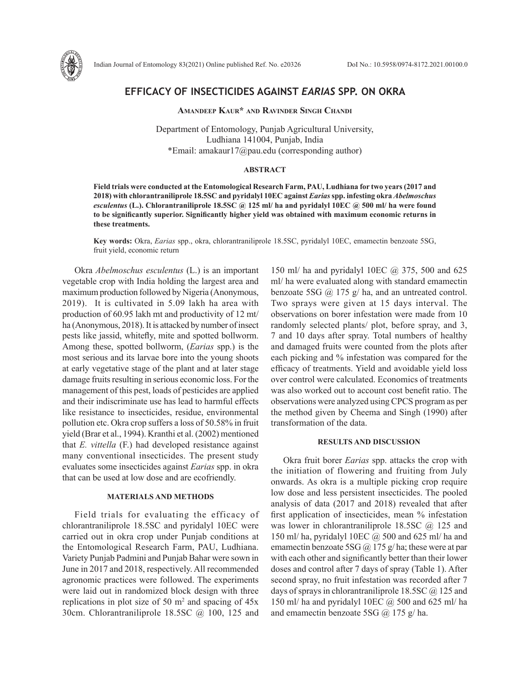

# **EFFICACY OF INSECTICIDES AGAINST** *EARIAS* **SPP. ON OKRA**

**Amandeep Kaur\* and Ravinder Singh Chandi**

Department of Entomology, Punjab Agricultural University, Ludhiana 141004, Punjab, India \*Email: amakaur17@pau.edu (corresponding author)

## **ABSTRACT**

**Field trials were conducted at the Entomological Research Farm, PAU, Ludhiana for two years (2017 and 2018) with chlorantraniliprole 18.5SC and pyridalyl 10EC against** *Earias* **spp. infesting okra** *Abelmoschus esculentus* **(L.). Chlorantraniliprole 18.5SC @ 125 ml/ ha and pyridalyl 10EC @ 500 ml/ ha were found to be significantly superior. Significantly higher yield was obtained with maximum economic returns in these treatments.** 

**Key words:** Okra, *Earias* spp., okra, chlorantraniliprole 18.5SC, pyridalyl 10EC, emamectin benzoate 5SG, fruit yield, economic return

Okra *Abelmoschus esculentus* (L.) is an important vegetable crop with India holding the largest area and maximum production followed by Nigeria (Anonymous, 2019). It is cultivated in 5.09 lakh ha area with production of 60.95 lakh mt and productivity of 12 mt/ ha (Anonymous, 2018). It is attacked by number of insect pests like jassid, whitefly, mite and spotted bollworm. Among these, spotted bollworm, (*Earias* spp.) is the most serious and its larvae bore into the young shoots at early vegetative stage of the plant and at later stage damage fruits resulting in serious economic loss. For the management of this pest, loads of pesticides are applied and their indiscriminate use has lead to harmful effects like resistance to insecticides, residue, environmental pollution etc. Okra crop suffers a loss of 50.58% in fruit yield (Brar et al., 1994). Kranthi et al. (2002) mentioned that *E. vittella* (F.) had developed resistance against many conventional insecticides. The present study evaluates some insecticides against *Earias* spp. in okra that can be used at low dose and are ecofriendly.

#### **MATERIALS AND METHODS**

Field trials for evaluating the efficacy of chlorantraniliprole 18.5SC and pyridalyl 10EC were carried out in okra crop under Punjab conditions at the Entomological Research Farm, PAU, Ludhiana. Variety Punjab Padmini and Punjab Bahar were sown in June in 2017 and 2018, respectively. All recommended agronomic practices were followed. The experiments were laid out in randomized block design with three replications in plot size of 50  $m<sup>2</sup>$  and spacing of 45x 30cm. Chlorantraniliprole 18.5SC @ 100, 125 and

150 ml/ ha and pyridalyl 10EC @ 375, 500 and 625 ml/ ha were evaluated along with standard emamectin benzoate 5SG @ 175 g/ ha, and an untreated control. Two sprays were given at 15 days interval. The observations on borer infestation were made from 10 randomly selected plants/ plot, before spray, and 3, 7 and 10 days after spray. Total numbers of healthy and damaged fruits were counted from the plots after each picking and % infestation was compared for the efficacy of treatments. Yield and avoidable yield loss over control were calculated. Economics of treatments was also worked out to account cost benefit ratio. The observations were analyzed using CPCS program as per the method given by Cheema and Singh (1990) after transformation of the data.

## **RESULTS AND DISCUSSION**

Okra fruit borer *Earias* spp. attacks the crop with the initiation of flowering and fruiting from July onwards. As okra is a multiple picking crop require low dose and less persistent insecticides. The pooled analysis of data (2017 and 2018) revealed that after first application of insecticides, mean % infestation was lower in chlorantraniliprole 18.5SC  $(a)$  125 and 150 ml/ ha, pyridalyl 10EC @ 500 and 625 ml/ ha and emamectin benzoate 5SG  $\omega$  175 g/ ha; these were at par with each other and significantly better than their lower doses and control after 7 days of spray (Table 1). After second spray, no fruit infestation was recorded after 7 days of sprays in chlorantraniliprole 18.5SC  $\omega$  125 and 150 ml/ ha and pyridalyl 10EC  $\omega$  500 and 625 ml/ ha and emamectin benzoate 5SG @ 175 g/ ha.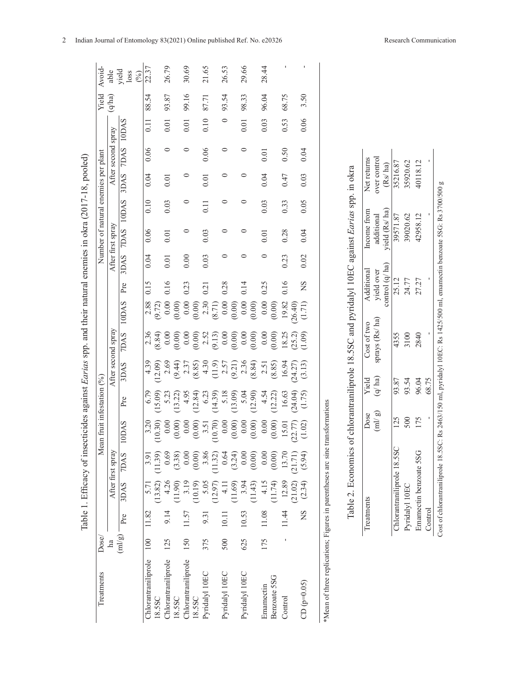|                                                                                                           | Avoid-                              | able               | yield<br>loss<br>(%)         | 22.37               |         | 26.79               |         | 30.69                         | 21.65             |         | 26.53                            |         | 29.66          |         | 28.44     |              |                  |         |               |                                                              |                                                                              |             |                                    |                           |                |                        |         |                                                                                                                           |
|-----------------------------------------------------------------------------------------------------------|-------------------------------------|--------------------|------------------------------|---------------------|---------|---------------------|---------|-------------------------------|-------------------|---------|----------------------------------|---------|----------------|---------|-----------|--------------|------------------|---------|---------------|--------------------------------------------------------------|------------------------------------------------------------------------------|-------------|------------------------------------|---------------------------|----------------|------------------------|---------|---------------------------------------------------------------------------------------------------------------------------|
|                                                                                                           | Yield                               | (q/ha)             |                              | 88.54               |         | 93.87               |         | 99.16                         | 87.71             |         | 93.54                            |         | 98.33          |         | 96.04     |              | 68.75            |         | 3.50          |                                                              |                                                                              |             |                                    |                           |                |                        |         |                                                                                                                           |
|                                                                                                           |                                     |                    |                              | $\overline{0.11}$   |         | 0.01                |         | 0.01                          | 0.10              |         | $\circ$                          |         | 0.01           |         | 0.03      |              | 0.53             |         | 0.06          |                                                              |                                                                              |             |                                    |                           |                |                        |         |                                                                                                                           |
|                                                                                                           |                                     | After second spray | 7DAS 10DAS                   | 0.06                |         | $\circ$             |         | $\circ$                       | 0.06              |         | $\circ$                          |         | $\circ$        |         | 0.01      |              | 0.50             |         | 0.04          |                                                              |                                                                              |             |                                    |                           |                |                        |         |                                                                                                                           |
|                                                                                                           |                                     |                    | 3DAS                         | 0.04                |         | 0.01                |         | $\circ$                       | 0.01              |         | ○                                |         | 0              |         | 0.04      |              | 0.47             |         | 0.03          |                                                              |                                                                              | Net returns | over control<br>(Rs/ha)            | 35216.87                  | 35920.62       | 40118.12               |         |                                                                                                                           |
|                                                                                                           |                                     |                    |                              | 0.10                |         | 0.03                |         | $\circ$                       | $\overline{0.11}$ |         | $\circ$                          |         | 0              |         | 0.03      |              | 0.33             |         | 0.05          |                                                              |                                                                              |             |                                    |                           |                |                        |         |                                                                                                                           |
|                                                                                                           | Number of natural enemies per plant | After first spray  | 7DAS 10DAS                   | 0.06                |         | 0.01                |         | $\circ$                       | 0.03              |         | $\circ$                          |         | 0              |         | 0.01      |              | 0.28             |         | 0.04          |                                                              |                                                                              | Income from | yield (Rs/ha)<br>additional        | 39571.87                  | 39020.62       | 42958.12               |         |                                                                                                                           |
|                                                                                                           |                                     |                    | 3DAS                         | 0.04                |         | 0.01                |         | 0.00                          | 0.03              |         | $\circ$                          |         | 0              |         | $\circ$   |              | 0.23             |         | 0.02          |                                                              |                                                                              |             |                                    |                           |                |                        |         |                                                                                                                           |
|                                                                                                           |                                     |                    | Pre                          | 0.15                |         | 0.16                |         | 0.23                          | 0.21              |         | 0.28                             |         | 0.14           |         | 0.25      |              | 0.16             |         | <b>NS</b>     |                                                              |                                                                              | Additional  | control (q/ ha)<br>yield over      | 25.12                     | 24.77          | 27.27                  |         |                                                                                                                           |
|                                                                                                           |                                     |                    | 10DAS                        | 2.88                | (9.72)  | 0.00                | (0.00)  | 0.00                          | 2.30<br>(0.00)    | (8.71)  | (0.00)                           |         | $0.00\,$       | (0.00)  | $0.00\,$  | (0.00)       | 19.82<br>(26.40) |         | (1.71)        |                                                              |                                                                              |             |                                    |                           |                |                        |         |                                                                                                                           |
| Table 1. Efficacy of insecticides against Earias spp. and their natural enemies in okra (2017-18, pooled) |                                     | After second spray | <b>7DAS</b>                  | 2.36                | (8.84)  | 0.00                | (0.00)  | 0.00                          | 2.52<br>(0.00)    |         | $(9.13)$<br>0.00<br>0.00<br>0.00 |         |                | (0.00)  | 0.00      | (0.00)       | 18.25            | (25.2)  | (1.09)        |                                                              | of chlorantraniliprole 18.5SC and pyridalyl 10EC against Earias spp. in okra | Cost of two | sprays (Rs/ ha)                    | 4355                      | 3100           | 2840                   |         | Cost of chlorantraniliprole 18.5SC: Rs 2463/150 ml, pyridalyl 10EC: Rs 1425/500 ml, emamectin benzoate 5SG: Rs 3700/500 g |
|                                                                                                           |                                     |                    | 3DAS                         | 4.39                | 12.09)  | 2.69                | (9.44)  | 2.37                          | 4.30<br>(8.85)    | (11.9)  | 2.57                             | (9.21)  | 2.36           | (8.84)  | 2.51      | (8.85)       | 16.94            | (24.27) | (3.13)        |                                                              |                                                                              |             |                                    |                           |                |                        |         |                                                                                                                           |
|                                                                                                           |                                     |                    | Pre                          | 6.79                | (15.09) | 5.23                | (13.22) | 4.95                          | 12.84)<br>6.23    | (14.39) | 5.18                             | (13.09) | 5.04           | (12.90) | 4.54      | 12.22        | 16.63            | (24.04) | (1.75)        |                                                              |                                                                              | Yield       | (q/ha)                             | 93.87                     | 93.54          | 96.04                  | 68.75   |                                                                                                                           |
|                                                                                                           | Mean fruit infestation (%)          |                    | 10DAS                        | 3.20                | (10.30) | 0.00                | (0.00)  | 0.00                          | (0.00)<br>3.51    | (10.70) | 0.00                             | (0.00)  | 0.00           | (0.00)  | 0.00      | (0.00)       | 15.01            | (22.77) | (1.02)        | transformations                                              |                                                                              | Dose        | $\left( \text{mJ}\right/ \text{g}$ | 125                       | 500            | 175                    |         |                                                                                                                           |
|                                                                                                           |                                     | After first spray  | <b>7DAS</b>                  | 3.91                | (11.39) | 0.69                | (3.38)  | $0.00\,$                      | 3.86<br>(0.00)    | (11.32) | 0.64                             | (3.24)  | 0.00           | (0.00)  | 0.00      | (0.00)       | 13.70            | (21.71) | (5.94)        |                                                              |                                                                              |             |                                    |                           |                |                        |         |                                                                                                                           |
|                                                                                                           |                                     |                    | 3DAS                         | 5.71                | (13.82) | 4.26                | (11.90) | 3.19<br>(10.19)               | 5.05              | (12.97) | $\frac{11}{4}$                   | (11.69) | 3.94           | (11.43) | 4.15      | (11.74)      | 12.89            | (21.02) | (2.34)        |                                                              | Table 2. Economics                                                           |             |                                    | Chlorantraniliprole 18.5S |                | Emamectin benzoate 5SG |         |                                                                                                                           |
|                                                                                                           |                                     |                    | Pre                          | 11.82               |         | 9.14                |         | 11.57                         | 9.31              |         | 10.11                            |         | 10.53          |         | 11.08     |              | 11.44            |         | ΧN            |                                                              |                                                                              | Treatments  |                                    |                           | Pyridalyl 10EC |                        | Control |                                                                                                                           |
|                                                                                                           | Dose/                               | ha                 | $\left( \text{ml/g} \right)$ | 100                 |         | 125                 |         | 150                           | 375               |         | 500                              |         | 625            |         | 175       |              | ı                |         |               |                                                              |                                                                              |             |                                    |                           |                |                        |         |                                                                                                                           |
|                                                                                                           | Treatments                          |                    |                              | Chlorantraniliprole | 18.5SC  | Chlorantraniliprole | 18.5SC  | Chlorantraniliprole<br>18.5SC | Pyridalyl 10EC    |         | Pyridalyl 10EC                   |         | Pyridalyl 10EC |         | Emamectin | Benzoate 5SG | Control          |         | $CD (p=0.05)$ | *Mean of three replications; Figures in parentheses arc sine |                                                                              |             |                                    |                           |                |                        |         |                                                                                                                           |

| Treatmen                   | Dose   | Yield  | Cost of two   | Additional                          | Income from                             | Net returns                |
|----------------------------|--------|--------|---------------|-------------------------------------|-----------------------------------------|----------------------------|
|                            | (ml/g) | (q/ha) | prays (Rs/ha) |                                     | additional                              | ver control                |
|                            |        |        |               | yield over<br>control $(q/\hbar a)$ | yield $(Rs/ha)$<br>$\frac{39571.87}{ }$ | $\frac{(Rs/ha)}{35216.87}$ |
| Chlorantraniliprole 18.5SC |        | 93.87  | 4355          | $\frac{25.12}{ }$                   |                                         |                            |
| Pyridalyl 10EC             |        | 93.54  |               | 24.77                               | 9020.62                                 | 35920.62                   |
| Emamectin benzoate 5SG     |        | 96.04  | 2840          | 27.27                               | 42958.12                                | 40118.12                   |
| Control                    |        | 68.75  |               |                                     |                                         |                            |
|                            |        |        |               |                                     |                                         |                            |